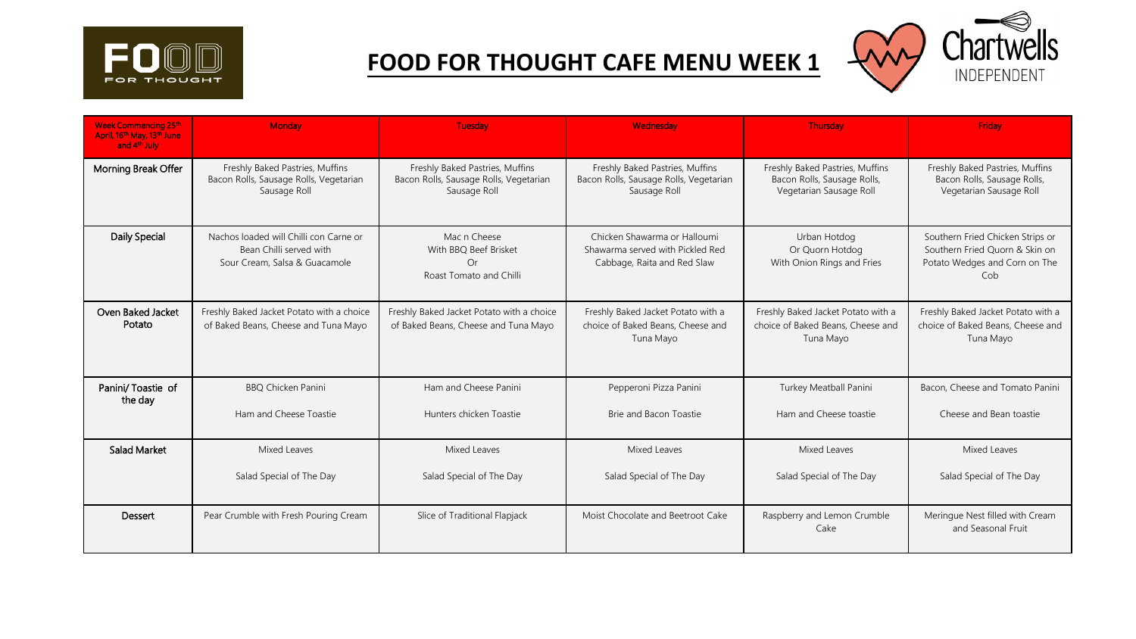

## **FOOD FOR THOUGHT CAFE MENU WEEK 1**



| <b>Week Commencing 25th</b><br>April, 16th May, 13th June<br>and 4 <sup>th</sup> July | Monday                                                                                             | <b>Tuesday</b>                                                                            | Wednesday                                                                                       | Thursday                                                                                  | Friday                                                                                                     |
|---------------------------------------------------------------------------------------|----------------------------------------------------------------------------------------------------|-------------------------------------------------------------------------------------------|-------------------------------------------------------------------------------------------------|-------------------------------------------------------------------------------------------|------------------------------------------------------------------------------------------------------------|
| Morning Break Offer                                                                   | Freshly Baked Pastries, Muffins<br>Bacon Rolls, Sausage Rolls, Vegetarian<br>Sausage Roll          | Freshly Baked Pastries, Muffins<br>Bacon Rolls, Sausage Rolls, Vegetarian<br>Sausage Roll | Freshly Baked Pastries, Muffins<br>Bacon Rolls, Sausage Rolls, Vegetarian<br>Sausage Roll       | Freshly Baked Pastries, Muffins<br>Bacon Rolls, Sausage Rolls,<br>Vegetarian Sausage Roll | Freshly Baked Pastries, Muffins<br>Bacon Rolls, Sausage Rolls,<br>Vegetarian Sausage Roll                  |
| Daily Special                                                                         | Nachos loaded will Chilli con Carne or<br>Bean Chilli served with<br>Sour Cream, Salsa & Guacamole | Mac n Cheese<br>With BBO Beef Brisket<br>Or<br>Roast Tomato and Chilli                    | Chicken Shawarma or Halloumi<br>Shawarma served with Pickled Red<br>Cabbage, Raita and Red Slaw | Urban Hotdog<br>Or Quorn Hotdog<br>With Onion Rings and Fries                             | Southern Fried Chicken Strips or<br>Southern Fried Quorn & Skin on<br>Potato Wedges and Corn on The<br>Cob |
| Oven Baked Jacket<br>Potato                                                           | Freshly Baked Jacket Potato with a choice<br>of Baked Beans, Cheese and Tuna Mayo                  | Freshly Baked Jacket Potato with a choice<br>of Baked Beans, Cheese and Tuna Mayo         | Freshly Baked Jacket Potato with a<br>choice of Baked Beans, Cheese and<br>Tuna Mayo            | Freshly Baked Jacket Potato with a<br>choice of Baked Beans, Cheese and<br>Tuna Mayo      | Freshly Baked Jacket Potato with a<br>choice of Baked Beans, Cheese and<br>Tuna Mayo                       |
| Panini/Toastie of<br>the day                                                          | <b>BBQ Chicken Panini</b>                                                                          | Ham and Cheese Panini                                                                     | Pepperoni Pizza Panini                                                                          | Turkey Meatball Panini                                                                    | Bacon, Cheese and Tomato Panini                                                                            |
|                                                                                       | Ham and Cheese Toastie                                                                             | Hunters chicken Toastie                                                                   | Brie and Bacon Toastie                                                                          | Ham and Cheese toastie                                                                    | Cheese and Bean toastie                                                                                    |
| <b>Salad Market</b>                                                                   | Mixed Leaves                                                                                       | Mixed Leaves                                                                              | Mixed Leaves                                                                                    | Mixed Leaves                                                                              | Mixed Leaves                                                                                               |
|                                                                                       | Salad Special of The Day                                                                           | Salad Special of The Day                                                                  | Salad Special of The Day                                                                        | Salad Special of The Day                                                                  | Salad Special of The Day                                                                                   |
| Dessert                                                                               | Pear Crumble with Fresh Pouring Cream                                                              | Slice of Traditional Flapjack                                                             | Moist Chocolate and Beetroot Cake                                                               | Raspberry and Lemon Crumble<br>Cake                                                       | Meringue Nest filled with Cream<br>and Seasonal Fruit                                                      |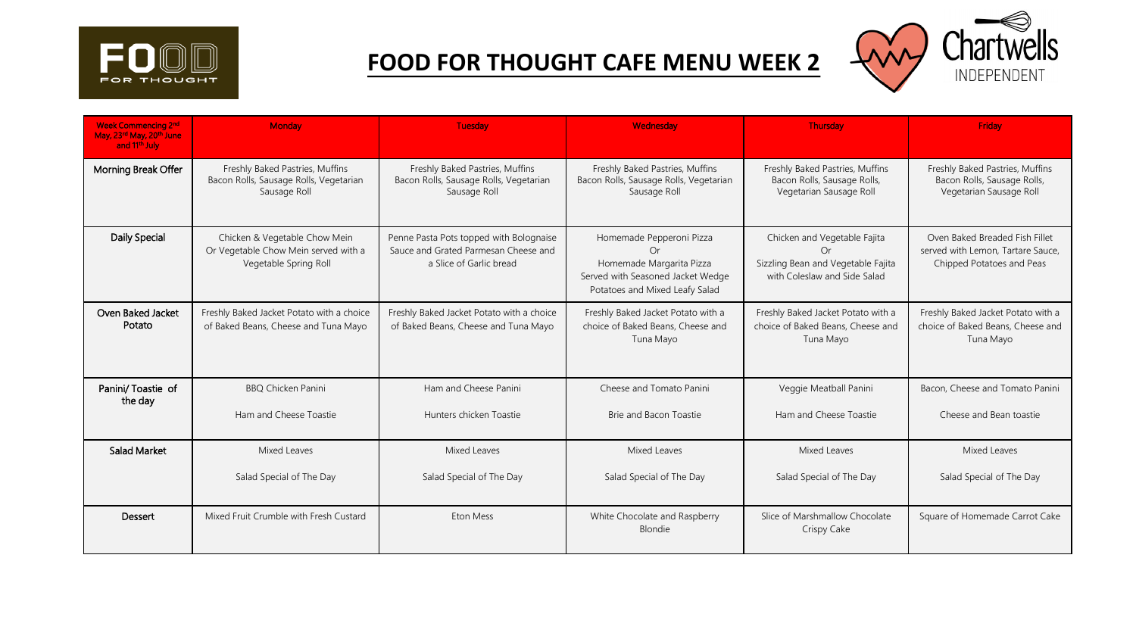

## **FOOD FOR THOUGHT CAFE MENU WEEK 2**



| <b>Week Commencing 2nd</b><br>May, 23rd May, 20th June<br>and 11 <sup>th</sup> July | Monday                                                                                         | <b>Tuesday</b>                                                                                             | Wednesday                                                                                                                         | <b>Thursday</b>                                                                                          | Fridav                                                                                           |
|-------------------------------------------------------------------------------------|------------------------------------------------------------------------------------------------|------------------------------------------------------------------------------------------------------------|-----------------------------------------------------------------------------------------------------------------------------------|----------------------------------------------------------------------------------------------------------|--------------------------------------------------------------------------------------------------|
| Morning Break Offer                                                                 | Freshly Baked Pastries, Muffins<br>Bacon Rolls, Sausage Rolls, Vegetarian<br>Sausage Roll      | Freshly Baked Pastries, Muffins<br>Bacon Rolls, Sausage Rolls, Vegetarian<br>Sausage Roll                  | Freshly Baked Pastries, Muffins<br>Bacon Rolls, Sausage Rolls, Vegetarian<br>Sausage Roll                                         | Freshly Baked Pastries, Muffins<br>Bacon Rolls, Sausage Rolls,<br>Vegetarian Sausage Roll                | Freshly Baked Pastries, Muffins<br>Bacon Rolls, Sausage Rolls,<br>Vegetarian Sausage Roll        |
| Daily Special                                                                       | Chicken & Vegetable Chow Mein<br>Or Vegetable Chow Mein served with a<br>Vegetable Spring Roll | Penne Pasta Pots topped with Bolognaise<br>Sauce and Grated Parmesan Cheese and<br>a Slice of Garlic bread | Homemade Pepperoni Pizza<br>Or<br>Homemade Margarita Pizza<br>Served with Seasoned Jacket Wedge<br>Potatoes and Mixed Leafy Salad | Chicken and Vegetable Fajita<br>Or<br>Sizzling Bean and Vegetable Fajita<br>with Coleslaw and Side Salad | Oven Baked Breaded Fish Fillet<br>served with Lemon, Tartare Sauce,<br>Chipped Potatoes and Peas |
| Oven Baked Jacket<br>Potato                                                         | Freshly Baked Jacket Potato with a choice<br>of Baked Beans, Cheese and Tuna Mayo              | Freshly Baked Jacket Potato with a choice<br>of Baked Beans, Cheese and Tuna Mayo                          | Freshly Baked Jacket Potato with a<br>choice of Baked Beans, Cheese and<br>Tuna Mayo                                              | Freshly Baked Jacket Potato with a<br>choice of Baked Beans, Cheese and<br>Tuna Mayo                     | Freshly Baked Jacket Potato with a<br>choice of Baked Beans, Cheese and<br>Tuna Mayo             |
| Panini/Toastie of<br>the day                                                        | <b>BBQ Chicken Panini</b>                                                                      | Ham and Cheese Panini                                                                                      | Cheese and Tomato Panini                                                                                                          | Veggie Meatball Panini                                                                                   | Bacon, Cheese and Tomato Panini                                                                  |
|                                                                                     | Ham and Cheese Toastie                                                                         | Hunters chicken Toastie                                                                                    | Brie and Bacon Toastie                                                                                                            | Ham and Cheese Toastie                                                                                   | Cheese and Bean toastie                                                                          |
| <b>Salad Market</b>                                                                 | Mixed Leaves                                                                                   | Mixed Leaves                                                                                               | Mixed Leaves                                                                                                                      | Mixed Leaves                                                                                             | Mixed Leaves                                                                                     |
|                                                                                     | Salad Special of The Day                                                                       | Salad Special of The Day                                                                                   | Salad Special of The Day                                                                                                          | Salad Special of The Day                                                                                 | Salad Special of The Day                                                                         |
| Dessert                                                                             | Mixed Fruit Crumble with Fresh Custard                                                         | Eton Mess                                                                                                  | White Chocolate and Raspberry<br>Blondie                                                                                          | Slice of Marshmallow Chocolate<br>Crispy Cake                                                            | Square of Homemade Carrot Cake                                                                   |